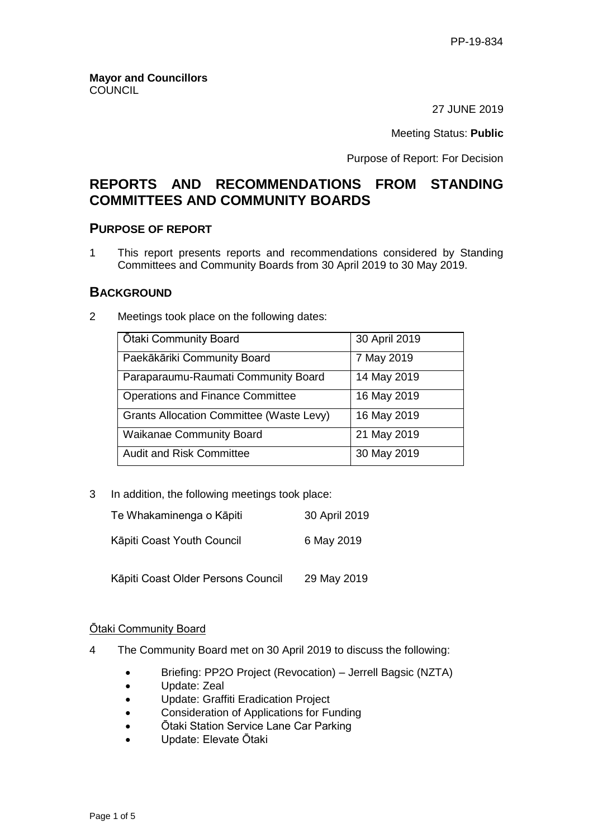27 JUNE 2019

Meeting Status: **Public**

Purpose of Report: For Decision

# **REPORTS AND RECOMMENDATIONS FROM STANDING COMMITTEES AND COMMUNITY BOARDS**

# **PURPOSE OF REPORT**

1 This report presents reports and recommendations considered by Standing Committees and Community Boards from 30 April 2019 to 30 May 2019.

# **BACKGROUND**

2 Meetings took place on the following dates:

| <b>Otaki Community Board</b>                    | 30 April 2019 |
|-------------------------------------------------|---------------|
| Paekākāriki Community Board                     | 7 May 2019    |
| Paraparaumu-Raumati Community Board             | 14 May 2019   |
| <b>Operations and Finance Committee</b>         | 16 May 2019   |
| <b>Grants Allocation Committee (Waste Levy)</b> | 16 May 2019   |
| <b>Waikanae Community Board</b>                 | 21 May 2019   |
| <b>Audit and Risk Committee</b>                 | 30 May 2019   |

3 In addition, the following meetings took place:

| Te Whakaminenga o Kāpiti           | 30 April 2019 |
|------------------------------------|---------------|
| Kāpiti Coast Youth Council         | 6 May 2019    |
| Kāpiti Coast Older Persons Council | 29 May 2019   |

### Ōtaki Community Board

- 4 The Community Board met on 30 April 2019 to discuss the following:
	- Briefing: PP2O Project (Revocation) Jerrell Bagsic (NZTA)
	- Update: Zeal
	- Update: Graffiti Eradication Project
	- **•** Consideration of Applications for Funding
	- Ōtaki Station Service Lane Car Parking
	- Update: Elevate Ōtaki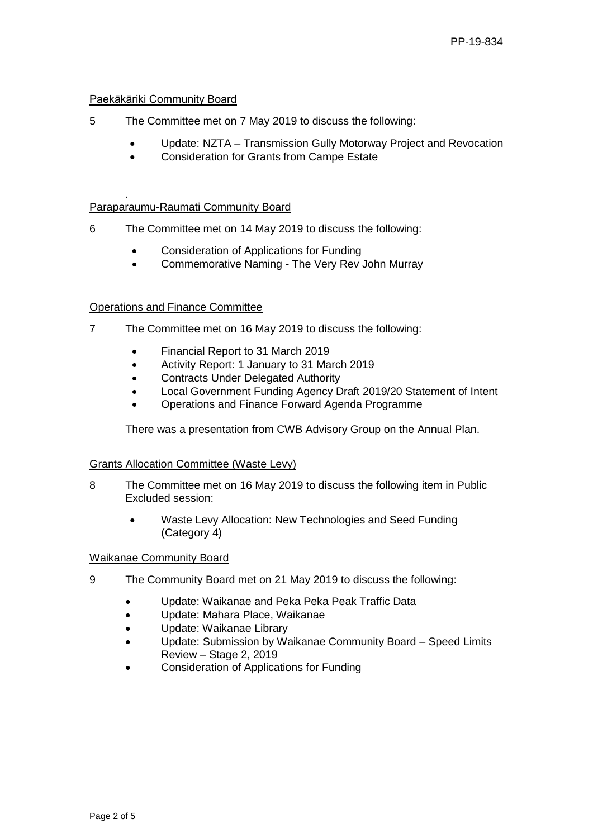### Paekākāriki Community Board

- 5 The Committee met on 7 May 2019 to discuss the following:
	- Update: NZTA Transmission Gully Motorway Project and Revocation
	- Consideration for Grants from Campe Estate

#### . Paraparaumu-Raumati Community Board

- 6 The Committee met on 14 May 2019 to discuss the following:
	- Consideration of Applications for Funding
	- Commemorative Naming The Very Rev John Murray

### Operations and Finance Committee

- 7 The Committee met on 16 May 2019 to discuss the following:
	- Financial Report to 31 March 2019
	- Activity Report: 1 January to 31 March 2019
	- **•** Contracts Under Delegated Authority
	- Local Government Funding Agency Draft 2019/20 Statement of Intent
	- Operations and Finance Forward Agenda Programme

There was a presentation from CWB Advisory Group on the Annual Plan.

### Grants Allocation Committee (Waste Levy)

- 8 The Committee met on 16 May 2019 to discuss the following item in Public Excluded session:
	- Waste Levy Allocation: New Technologies and Seed Funding (Category 4)

### Waikanae Community Board

- 9 The Community Board met on 21 May 2019 to discuss the following:
	- Update: Waikanae and Peka Peka Peak Traffic Data
	- Update: Mahara Place, Waikanae
	- Update: Waikanae Library
	- Update: Submission by Waikanae Community Board Speed Limits Review – Stage 2, 2019
	- Consideration of Applications for Funding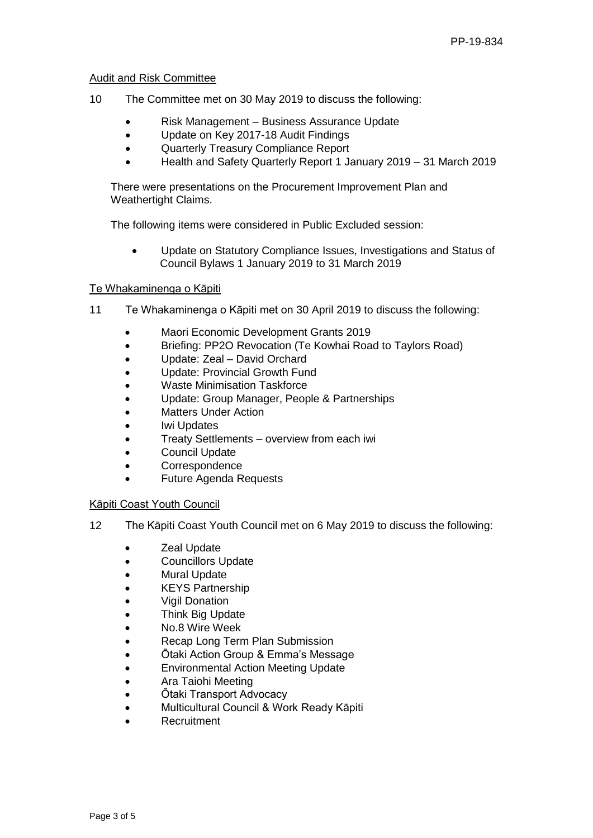#### Audit and Risk Committee

- 10 The Committee met on 30 May 2019 to discuss the following:
	- Risk Management Business Assurance Update
	- Update on Key 2017-18 Audit Findings
	- Quarterly Treasury Compliance Report
	- Health and Safety Quarterly Report 1 January 2019 31 March 2019

There were presentations on the Procurement Improvement Plan and Weathertight Claims.

The following items were considered in Public Excluded session:

 Update on Statutory Compliance Issues, Investigations and Status of Council Bylaws 1 January 2019 to 31 March 2019

#### Te Whakaminenga o Kāpiti

- 11 Te Whakaminenga o Kāpiti met on 30 April 2019 to discuss the following:
	- Maori Economic Development Grants 2019
	- Briefing: PP2O Revocation (Te Kowhai Road to Taylors Road)
	- Update: Zeal David Orchard
	- Update: Provincial Growth Fund
	- Waste Minimisation Taskforce
	- Update: Group Manager, People & Partnerships
	- Matters Under Action
	- Iwi Updates
	- Treaty Settlements overview from each iwi
	- Council Update
	- Correspondence
	- Future Agenda Requests

#### Kāpiti Coast Youth Council

- 12 The Kāpiti Coast Youth Council met on 6 May 2019 to discuss the following:
	- **Zeal Update**
	- Councillors Update
	- Mural Update
	- KEYS Partnership
	- Vigil Donation
	- Think Big Update
	- No.8 Wire Week
	- Recap Long Term Plan Submission
	- Ōtaki Action Group & Emma's Message
	- **•** Environmental Action Meeting Update
	- Ara Taiohi Meeting
	- Ōtaki Transport Advocacy
	- Multicultural Council & Work Ready Kāpiti
	- **Recruitment**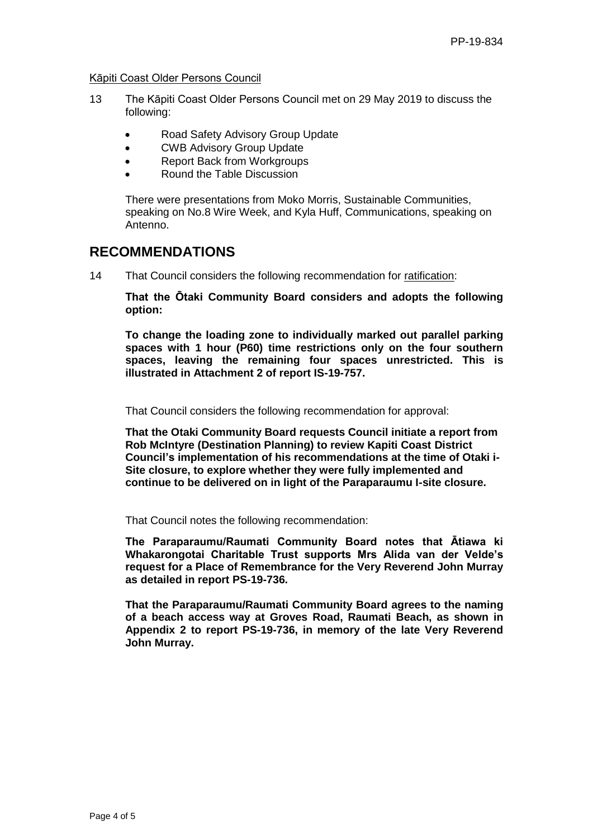Kāpiti Coast Older Persons Council

- 13 The Kāpiti Coast Older Persons Council met on 29 May 2019 to discuss the following:
	- Road Safety Advisory Group Update
	- CWB Advisory Group Update
	- Report Back from Workgroups
	- Round the Table Discussion

There were presentations from Moko Morris, Sustainable Communities, speaking on No.8 Wire Week, and Kyla Huff, Communications, speaking on Antenno.

# **RECOMMENDATIONS**

14 That Council considers the following recommendation for ratification:

**That the Ōtaki Community Board considers and adopts the following option:**

**To change the loading zone to individually marked out parallel parking spaces with 1 hour (P60) time restrictions only on the four southern spaces, leaving the remaining four spaces unrestricted. This is illustrated in Attachment 2 of report IS-19-757.**

That Council considers the following recommendation for approval:

**That the Otaki Community Board requests Council initiate a report from Rob McIntyre (Destination Planning) to review Kapiti Coast District Council's implementation of his recommendations at the time of Otaki i-Site closure, to explore whether they were fully implemented and continue to be delivered on in light of the Paraparaumu I-site closure.**

That Council notes the following recommendation:

**The Paraparaumu/Raumati Community Board notes that Ātiawa ki Whakarongotai Charitable Trust supports Mrs Alida van der Velde's request for a Place of Remembrance for the Very Reverend John Murray as detailed in report PS-19-736.**

**That the Paraparaumu/Raumati Community Board agrees to the naming of a beach access way at Groves Road, Raumati Beach, as shown in Appendix 2 to report PS-19-736, in memory of the late Very Reverend John Murray.**